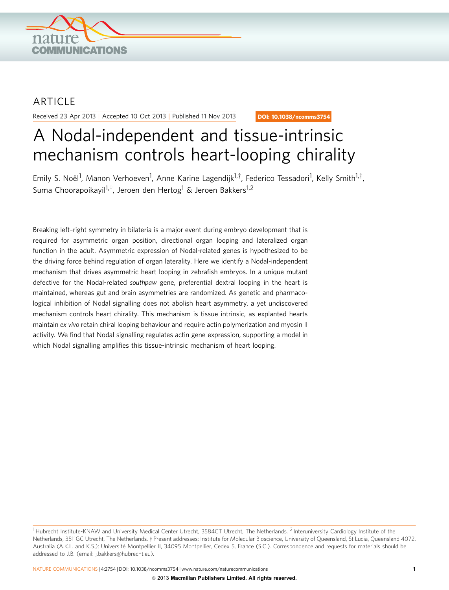

## ARTICLE

Received 23 Apr 2013 | Accepted 10 Oct 2013 | Published 11 Nov 2013

DOI: 10.1038/ncomms3754

# A Nodal-independent and tissue-intrinsic mechanism controls heart-looping chirality

Emily S. Noël<sup>1</sup>, Manon Verhoeven<sup>1</sup>, Anne Karine Lagendijk<sup>1,†</sup>, Federico Tessadori<sup>1</sup>, Kelly Smith<sup>1,†</sup>, Suma Choorapoikavil<sup>1,†</sup>, Jeroen den Hertog<sup>1</sup> & Jeroen Bakkers<sup>1,2</sup>

Breaking left–right symmetry in bilateria is a major event during embryo development that is required for asymmetric organ position, directional organ looping and lateralized organ function in the adult. Asymmetric expression of Nodal-related genes is hypothesized to be the driving force behind regulation of organ laterality. Here we identify a Nodal-independent mechanism that drives asymmetric heart looping in zebrafish embryos. In a unique mutant defective for the Nodal-related southpaw gene, preferential dextral looping in the heart is maintained, whereas gut and brain asymmetries are randomized. As genetic and pharmacological inhibition of Nodal signalling does not abolish heart asymmetry, a yet undiscovered mechanism controls heart chirality. This mechanism is tissue intrinsic, as explanted hearts maintain ex vivo retain chiral looping behaviour and require actin polymerization and myosin II activity. We find that Nodal signalling regulates actin gene expression, supporting a model in which Nodal signalling amplifies this tissue-intrinsic mechanism of heart looping.

<sup>&</sup>lt;sup>1</sup> Hubrecht Institute-KNAW and University Medical Center Utrecht, 3584CT Utrecht, The Netherlands. <sup>2</sup> Interuniversity Cardiology Institute of the Netherlands, 3511GC Utrecht, The Netherlands. i Present addresses: Institute for Molecular Bioscience, University of Queensland, St Lucia, Queensland 4072, Australia (A.K.L. and K.S.); Université Montpellier II, 34095 Montpellier, Cedex 5, France (S.C.). Correspondence and requests for materials should be addressed to J.B. (email: [j.bakkers@hubrecht.eu\)](mailto:j.bakkers@hubrecht.eu).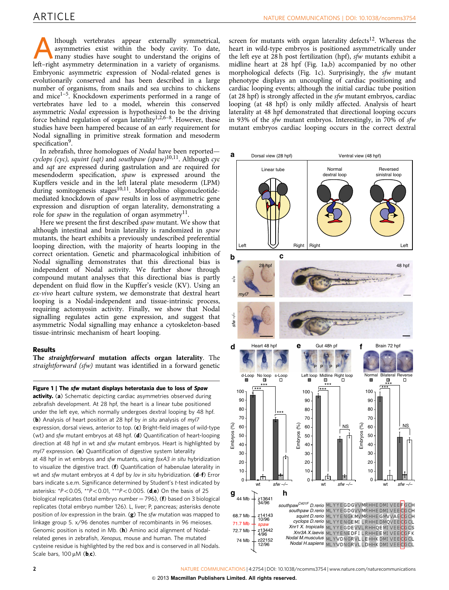<span id="page-1-0"></span>Although vertebrates appear externally symmetrical, asymmetries exist within the body cavity. To date, many studies have sought to understand the origins of left–right asymmetry determination in a variety of organisms. Embryonic asymmetric expression of Nodal-related genes is evolutionarily conserved and has been described in a large number of organisms, from snails and sea urchins to chickens and mice $1-5$ . Knockdown experiments performed in a range of vertebrates have led to a model, wherein this conserved asymmetric Nodal expression is hypothesized to be the driving force behind regulation of organ laterality<sup>1,2,6–8</sup>. However, these studies have been hampered because of an early requirement for Nodal signalling in primitive streak formation and mesoderm specification<sup>[9](#page-7-0)</sup>.

In zebrafish, three homologues of Nodal have been reported cyclops (cyc), squint (sqt) and southpaw (spaw)<sup>10,11</sup>. Although cyc and sqt are expressed during gastrulation and are required for mesendoderm specification, spaw is expressed around the Kupffers vesicle and in the left lateral plate mesoderm (LPM) during somitogenesis stages<sup>[10,11](#page-7-0)</sup>. Morpholino oligonucleotidemediated knockdown of spaw results in loss of asymmetric gene expression and disruption of organ laterality, demonstrating a role for *spaw* in the regulation of organ asymmetry<sup>[11](#page-7-0)</sup>.

Here we present the first described spaw mutant. We show that although intestinal and brain laterality is randomized in spaw mutants, the heart exhibits a previously undescribed preferential looping direction, with the majority of hearts looping in the correct orientation. Genetic and pharmacological inhibition of Nodal signalling demonstrates that this directional bias is independent of Nodal activity. We further show through compound mutant analyses that this directional bias is partly dependent on fluid flow in the Kupffer's vesicle (KV). Using an ex-vivo heart culture system, we demonstrate that dextral heart looping is a Nodal-independent and tissue-intrinsic process, requiring actomyosin activity. Finally, we show that Nodal signalling regulates actin gene expression, and suggest that asymmetric Nodal signalling may enhance a cytoskeleton-based tissue-intrinsic mechanism of heart looping.

### Results

The straightforward mutation affects organ laterality. The straightforward (sfw) mutant was identified in a forward genetic

Figure 1 | The sfw mutant displays heterotaxia due to loss of Spaw activity. (a) Schematic depicting cardiac asymmetries observed during zebrafish development. At 28 hpf, the heart is a linear tube positioned under the left eye, which normally undergoes dextral looping by 48 hpf. (b) Analysis of heart position at 28 hpf by in situ analysis of myl7 expression, dorsal views, anterior to top. (c) Bright-field images of wild-type (wt) and sfw mutant embryos at 48 hpf. (d) Quantification of heart-looping direction at 48 hpf in wt and sfw mutant embryos. Heart is highlighted by myl7 expression. (e) Quantification of digestive system laterality at 48 hpf in wt embryos and sfw mutants, using foxA3 in situ hybridization to visualize the digestive tract. (f) Quantification of habenulae laterality in wt and sfw mutant embryos at 4 dpf by lov in situ hybridization. (d-f) Error bars indicate s.e.m. Significance determined by Student's t-test indicated by asterisks:  $*P < 0.05$ ,  $*P < 0.01$ ,  $**P < 0.005$ . (d,e) On the basis of 25 biological replicates (total embryo number = 796), ( $f$ ) based on 3 biological replicates (total embryo number 126). L, liver; P, pancreas; asterisks denote position of lov expression in the brain.  $(g)$  The sfw mutation was mapped to linkage group 5. x/96 denotes number of recombinants in 96 meioses. Genomic position is noted in Mb. (h) Amino acid alignment of Nodalrelated genes in zebrafish, Xenopus, mouse and human. The mutated cysteine residue is highlighted by the red box and is conserved in all Nodals. Scale bars,  $100 \mu M$  (b,c).

screen for mutants with organ laterality defects<sup>[12](#page-7-0)</sup>. Whereas the heart in wild-type embryos is positioned asymmetrically under the left eye at  $28$  h post fertilization (hpf), *sfw* mutants exhibit a midline heart at 28 hpf (Fig. 1a,b) accompanied by no other morphological defects (Fig. 1c). Surprisingly, the sfw mutant phenotype displays an uncoupling of cardiac positioning and cardiac looping events; although the initial cardiac tube position (at 28 hpf) is strongly affected in the sfw mutant embryos, cardiac looping (at 48 hpf) is only mildly affected. Analysis of heart laterality at 48 hpf demonstrated that directional looping occurs in 93% of the sfw mutant embryos. Interestingly, in 70% of sfw mutant embryos cardiac looping occurs in the correct dextral

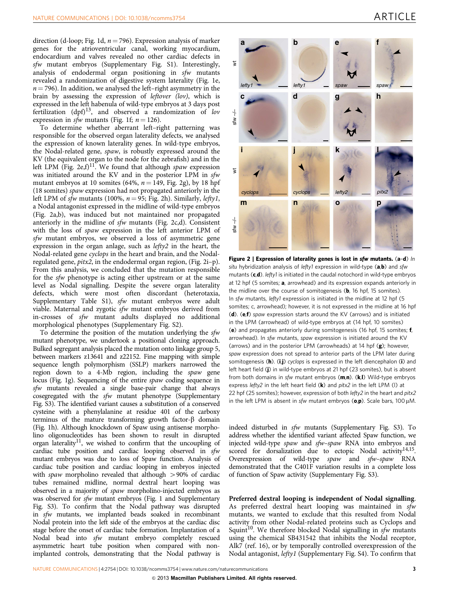direction (d-loop; [Fig. 1d](#page-1-0),  $n = 796$ ). Expression analysis of marker genes for the atrioventricular canal, working myocardium, endocardium and valves revealed no other cardiac defects in sfw mutant embryos (Supplementary Fig. S1). Interestingly, analysis of endodermal organ positioning in sfw mutants revealed a randomization of digestive system laterality ([Fig. 1e,](#page-1-0)  $n = 796$ ). In addition, we analysed the left–right asymmetry in the brain by assessing the expression of leftover (lov), which is expressed in the left habenula of wild-type embryos at 3 days post fertilization  $(dpf)^{13}$ , and observed a randomization of lov expression in sfw mutants [\(Fig. 1f](#page-1-0);  $n = 126$ ).

To determine whether aberrant left–right patterning was responsible for the observed organ laterality defects, we analysed the expression of known laterality genes. In wild-type embryos, the Nodal-related gene, spaw, is robustly expressed around the KV (the equivalent organ to the node for the zebrafish) and in the left LPM (Fig. 2e,f)<sup>11</sup>. We found that although spaw expression was initiated around the KV and in the posterior LPM in sfw mutant embryos at 10 somites (64%,  $n = 149$ , Fig. 2g), by 18 hpf (18 somites) spaw expression had not propagated anteriorly in the left LPM of sfw mutants (100%,  $n = 95$ ; Fig. 2h). Similarly, lefty1, a Nodal antagonist expressed in the midline of wild-type embryos (Fig. 2a,b), was induced but not maintained nor propagated anteriorly in the midline of sfw mutants (Fig. 2c,d). Consistent with the loss of spaw expression in the left anterior LPM of sfw mutant embryos, we observed a loss of asymmetric gene expression in the organ anlage, such as lefty2 in the heart, the Nodal-related gene cyclops in the heart and brain, and the Nodalregulated gene, pitx2, in the endodermal organ region, (Fig. 2i–p). From this analysis, we concluded that the mutation responsible for the sfw phenotype is acting either upstream or at the same level as Nodal signalling. Despite the severe organ laterality defects, which were most often discordant (heterotaxia, Supplementary Table S1), sfw mutant embryos were adult viable. Maternal and zygotic sfw mutant embryos derived from in-crosses of sfw mutant adults displayed no additional morphological phenotypes (Supplementary Fig. S2).

To determine the position of the mutation underlying the sfw mutant phenotype, we undertook a positional cloning approach. Bulked segregant analysis placed the mutation onto linkage group 5, between markers z13641 and z22152. Fine mapping with simple sequence length polymorphism (SSLP) markers narrowed the region down to a 4-Mb region, including the spaw gene locus [\(Fig. 1g](#page-1-0)). Sequencing of the entire spaw coding sequence in sfw mutants revealed a single base-pair change that always cosegregated with the sfw mutant phenotype (Supplementary Fig. S3). The identified variant causes a substitution of a conserved cysteine with a phenylalanine at residue 401 of the carboxy terminus of the mature transforming growth factor- $\beta$  domain ([Fig. 1h\)](#page-1-0). Although knockdown of Spaw using antisense morpholino oligonucleotides has been shown to result in disrupted organ laterality<sup>11</sup>, we wished to confirm that the uncoupling of cardiac tube position and cardiac looping observed in sfw mutant embryos was due to loss of Spaw function. Analysis of cardiac tube position and cardiac looping in embryos injected with spaw morpholino revealed that although  $>90\%$  of cardiac tubes remained midline, normal dextral heart looping was observed in a majority of spaw morpholino-injected embryos as was observed for sfw mutant embryos [\(Fig. 1](#page-1-0) and Supplementary Fig. S3). To confirm that the Nodal pathway was disrupted in sfw mutants, we implanted beads soaked in recombinant Nodal protein into the left side of the embryos at the cardiac disc stage before the onset of cardiac tube formation. Implantation of a Nodal bead into sfw mutant embryo completely rescued asymmetric heart tube position when compared with nonimplanted controls, demonstrating that the Nodal pathway is



Figure 2 | Expression of laterality genes is lost in sfw mutants. (a-d) In situ hybridization analysis of lefty1 expression in wild-type  $(a,b)$  and sfw mutants  $(c,d)$ . lefty1 is initiated in the caudal notochord in wild-type embryos at 12 hpf (5 somites; a, arrowhead) and its expression expands anteriorly in the midline over the course of somitogenesis (**, 16 hpf, 15 somites).** In sfw mutants, lefty1 expression is initiated in the midline at 12 hpf (5 somites; c, arrowhead); however, it is not expressed in the midline at 16 hpf (d). (e,f) spaw expression starts around the KV (arrows) and is initiated in the LPM (arrowhead) of wild-type embryos at (14 hpf, 10 somites) (e) and propagates anteriorly during somitogenesis (16 hpf, 15 somites; f, arrowhead). In sfw mutants, spaw expression is initiated around the KV (arrows) and in the posterior LPM (arrowheads) at 14 hpf (g); however, spaw expression does not spread to anterior parts of the LPM later during somitogenesis (h). (i,j) cyclops is expressed in the left diencephalon (i) and left heart field (j) in wild-type embryos at 21 hpf (23 somites), but is absent from both domains in sfw mutant embryos  $(m,n)$ .  $(k,1)$  Wild-type embryos express lefty2 in the left heart field  $(k)$  and pitx2 in the left LPM (I) at 22 hpf (25 somites); however, expression of both lefty2 in the heart and pitx2 in the left LPM is absent in sfw mutant embryos  $(o, p)$ . Scale bars, 100  $\mu$ M.

indeed disturbed in sfw mutants (Supplementary Fig. S3). To address whether the identified variant affected Spaw function, we injected wild-type spaw and sfw–spaw RNA into embryos and scored for dorsalization due to ectopic Nodal activity<sup>14,15</sup>. Overexpression of wild-type spaw and sfw–spaw RNA demonstrated that the C401F variation results in a complete loss of function of Spaw activity (Supplementary Fig. S3).

Preferred dextral looping is independent of Nodal signalling. As preferred dextral heart looping was maintained in sfw mutants, we wanted to exclude that this resulted from Nodal activity from other Nodal-related proteins such as Cyclops and Squint<sup>10</sup>. We therefore blocked Nodal signalling in  $sfw$  mutants using the chemical SB431542 that inhibits the Nodal receptor, Alk7 ([ref. 16](#page-7-0)), or by temporally controlled overexpression of the Nodal antagonist, lefty1 (Supplementary Fig. S4). To confirm that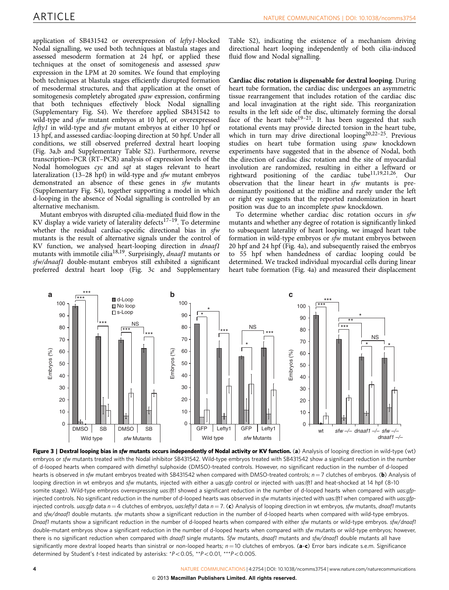application of SB431542 or overexpression of lefty1-blocked Nodal signalling, we used both techniques at blastula stages and assessed mesoderm formation at 24 hpf, or applied these techniques at the onset of somitogenesis and assessed spaw expression in the LPM at 20 somites. We found that employing both techniques at blastula stages efficiently disrupted formation of mesodermal structures, and that application at the onset of somitogenesis completely abrogated *spaw* expression, confirming that both techniques effectively block Nodal signalling (Supplementary Fig. S4). We therefore applied SB431542 to wild-type and *sfw* mutant embryos at 10 hpf, or overexpressed lefty1 in wild-type and sfw mutant embryos at either 10 hpf or 13 hpf, and assessed cardiac-looping direction at 50 hpf. Under all conditions, we still observed preferred dextral heart looping (Fig. 3a,b and Supplementary Table S2). Furthermore, reverse transcription–PCR (RT–PCR) analysis of expression levels of the Nodal homologues cyc and sqt at stages relevant to heart lateralization (13–28 hpf) in wild-type and sfw mutant embryos demonstrated an absence of these genes in sfw mutants (Supplementary Fig. S4), together supporting a model in which d-looping in the absence of Nodal signalling is controlled by an alternative mechanism.

Mutant embryos with disrupted cilia-mediated fluid flow in the KV display a wide variety of laterality defects<sup>17-19</sup>. To determine whether the residual cardiac-specific directional bias in sfw mutants is the result of alternative signals under the control of KV function, we analysed heart-looping direction in dnaaf1 mutants with immotile cilia<sup>[18,19](#page-7-0)</sup>. Surprisingly, *dnaaf1* mutants or sfw/dnaaf1 double-mutant embryos still exhibited a significant preferred dextral heart loop (Fig. 3c and Supplementary Table S2), indicating the existence of a mechanism driving directional heart looping independently of both cilia-induced fluid flow and Nodal signalling.

Cardiac disc rotation is dispensable for dextral looping. During heart tube formation, the cardiac disc undergoes an asymmetric tissue rearrangement that includes rotation of the cardiac disc and local invagination at the right side. This reorganization results in the left side of the disc, ultimately forming the dorsal face of the heart tube<sup>19-21</sup>. It has been suggested that such rotational events may provide directed torsion in the heart tube, which in turn may drive directional looping<sup>20,22-25</sup>. Previous studies on heart tube formation using spaw knockdown experiments have suggested that in the absence of Nodal, both the direction of cardiac disc rotation and the site of myocardial involution are randomized, resulting in either a leftward or rightward positioning of the cardiac tube<sup>11,19,21,26</sup>. Our observation that the linear heart in sfw mutants is predominantly positioned at the midline and rarely under the left or right eye suggests that the reported randomization in heart position was due to an incomplete spaw knockdown.

To determine whether cardiac disc rotation occurs in sfw mutants and whether any degree of rotation is significantly linked to subsequent laterality of heart looping, we imaged heart tube formation in wild-type embryos or sfw mutant embryos between 20 hpf and 24 hpf [\(Fig. 4a](#page-4-0)), and subsequently raised the embryos to 55 hpf when handedness of cardiac looping could be determined. We tracked individual myocardial cells during linear heart tube formation ([Fig. 4a\)](#page-4-0) and measured their displacement



Figure 3 | Dextral looping bias in sfw mutants occurs independently of Nodal activity or KV function. (a) Analysis of looping direction in wild-type (wt) embryos or sfw mutants treated with the Nodal inhibitor SB431542. Wild-type embryos treated with SB431542 show a significant reduction in the number of d-looped hearts when compared with dimethyl sulphoxide (DMSO)-treated controls. However, no significant reduction in the number of d-looped hearts is observed in sfw mutant embryos treated with SB431542 when compared with DMSO-treated controls;  $n = 7$  clutches of embryos. (b) Analysis of looping direction in wt embryos and sfw mutants, injected with either a uas:gfp control or injected with uas:lft1 and heat-shocked at 14 hpf (8-10 somite stage). Wild-type embryos overexpressing uas: Ift1 showed a significant reduction in the number of d-looped hearts when compared with uas: gfpinjected controls. No significant reduction in the number of d-looped hearts was observed in sfw mutants injected with uas://t1 when compared with uas:gfpinjected controls. uas:gfp data  $n = 4$  clutches of embryos, uas:lefty1 data  $n = 7$ . (c) Analysis of looping direction in wt embryos, sfw mutants, dnaaf1 mutants and sfw/dnaaf1 double mutants. sfw mutants show a significant reduction in the number of d-looped hearts when compared with wild-type embryos. Dnaaf1 mutants show a significant reduction in the number of d-looped hearts when compared with either sfw mutants or wild-type embryos. sfw/dnaaf1 double-mutant embryos show a significant reduction in the number of d-looped hearts when compared with sfw mutants or wild-type embryos; however, there is no significant reduction when compared with dnaaf1 single mutants. Sfw mutants, dnaaf1 mutants and sfw/dnaaf1 double mutants all have significantly more dextral looped hearts than sinistral or non-looped hearts;  $n = 10$  clutches of embryos. (a-c) Error bars indicate s.e.m. Significance determined by Student's t-test indicated by asterisks:  $*P<0.05$ ,  $**P<0.01$ ,  $**P<0.005$ .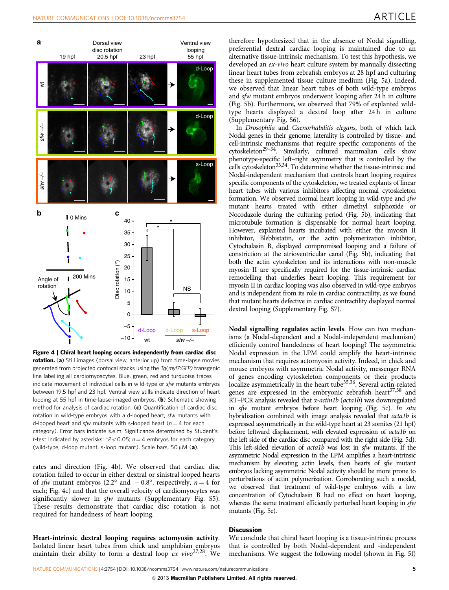<span id="page-4-0"></span>

Figure 4 | Chiral heart looping occurs independently from cardiac disc rotation. (a) Still images (dorsal view, anterior up) from time-lapse movies generated from projected confocal stacks using the  $T_q(myl7GFP)$  transgenic line labelling all cardiomyoscytes. Blue, green, red and turquoise traces indicate movement of individual cells in wild-type or sfw mutants embryos between 19.5 hpf and 23 hpf. Ventral view stills indicate direction of heart looping at 55 hpf in time-lapse-imaged embryos. (b) Schematic showing method for analysis of cardiac rotation. (c) Quantification of cardiac disc rotation in wild-type embryos with a d-looped heart, sfw mutants with d-looped heart and sfw mutants with s-looped heart ( $n = 4$  for each category). Error bars indicate s.e.m. Significance determined by Student's t-test indicated by asterisks:  $*P<0.05$ ; n = 4 embryos for each category (wild-type, d-loop mutant, s-loop mutant). Scale bars, 50  $\mu$ M (a).

rates and direction (Fig. 4b). We observed that cardiac disc rotation failed to occur in either dextral or sinistral looped hearts of sfw mutant embryos (2.2° and  $-0.8^{\circ}$ , respectively,  $n=4$  for each; Fig. 4c) and that the overall velocity of cardiomyocytes was significantly slower in sfw mutants (Supplementary Fig. S5). These results demonstrate that cardiac disc rotation is not required for handedness of heart looping.

Heart-intrinsic dextral looping requires actomyosin activity. Isolated linear heart tubes from chick and amphibian embryos maintain their ability to form a dextral loop  $ex$  vivo<sup>[27,28](#page-7-0)</sup>. We therefore hypothesized that in the absence of Nodal signalling, preferential dextral cardiac looping is maintained due to an alternative tissue-intrinsic mechanism. To test this hypothesis, we developed an *ex-vivo* heart culture system by manually dissecting linear heart tubes from zebrafish embryos at 28 hpf and culturing these in supplemented tissue culture medium [\(Fig. 5a\)](#page-5-0). Indeed, we observed that linear heart tubes of both wild-type embryos and sfw mutant embryos underwent looping after 24 h in culture ([Fig. 5b\)](#page-5-0). Furthermore, we observed that 79% of explanted wildtype hearts displayed a dextral loop after 24h in culture (Supplementary Fig. S6).

In Drosophila and Caenorhabditis elegans, both of which lack Nodal genes in their genome, laterality is controlled by tissue- and cell-intrinsic mechanisms that require specific components of the  $cv$ toskeleton<sup>29–34</sup>. Similarly, cultured mammalian cells show phenotype-specific left–right asymmetry that is controlled by the cells cytoskeleton $33,34$ . To determine whether the tissue-intrinsic and Nodal-independent mechanism that controls heart looping requires specific components of the cytoskeleton, we treated explants of linear heart tubes with various inhibitors affecting normal cytoskeleton formation. We observed normal heart looping in wild-type and sfw mutant hearts treated with either dimethyl sulphoxide or Nocodazole during the culturing period ([Fig. 5b](#page-5-0)), indicating that microtubule formation is dispensable for normal heart looping. However, explanted hearts incubated with either the myosin II inhibitor, Blebbistatin, or the actin polymerization inhibitor, Cytochalasin B, displayed compromised looping and a failure of constriction at the atrioventricular canal [\(Fig. 5b](#page-5-0)), indicating that both the actin cytoskeleton and its interactions with non-muscle myosin II are specifically required for the tissue-intrinsic cardiac remodelling that underlies heart looping. This requirement for myosin II in cardiac looping was also observed in wild-type embryos and is independent from its role in cardiac contractility, as we found that mutant hearts defective in cardiac contractility displayed normal dextral looping (Supplementary Fig. S7).

Nodal signalling regulates actin levels. How can two mechanisms (a Nodal-dependent and a Nodal-independent mechanism) efficiently control handedness of heart looping? The asymmetric Nodal expression in the LPM could amplify the heart-intrinsic mechanism that requires actomyosin activity. Indeed, in chick and mouse embryos with asymmetric Nodal activity, messenger RNA of genes encoding cytoskeleton components or their products localize asymmetrically in the heart tube<sup>35,36</sup>. Several actin-related genes are expressed in the embryonic zebrafish heart $37,38$  and RT–PCR analysis revealed that  $\alpha$ -actin1b (acta1b) was downregulated in sfw mutant embryos before heart looping [\(Fig. 5c\)](#page-5-0). In situ hybridization combined with image analysis revealed that acta1b is expressed asymmetrically in the wild-type heart at 23 somites (21 hpf) before leftward displacement, with elevated expression of acta1b on the left side of the cardiac disc compared with the right side [\(Fig. 5d\)](#page-5-0). This left-sided elevation of acta1b was lost in sfw mutants. If the asymmetric Nodal expression in the LPM amplifies a heart-intrinsic mechanism by elevating actin levels, then hearts of sfw mutant embryos lacking asymmetric Nodal activity should be more prone to perturbations of actin polymerization. Corroborating such a model, we observed that treatment of wild-type embryos with a low concentration of Cytochalasin B had no effect on heart looping, whereas the same treatment efficiently perturbed heart looping in sfw mutants [\(Fig. 5e](#page-5-0)).

### **Discussion**

We conclude that chiral heart looping is a tissue-intrinsic process that is controlled by both Nodal-dependent and -independent mechanisms. We suggest the following model (shown in [Fig. 5f](#page-5-0))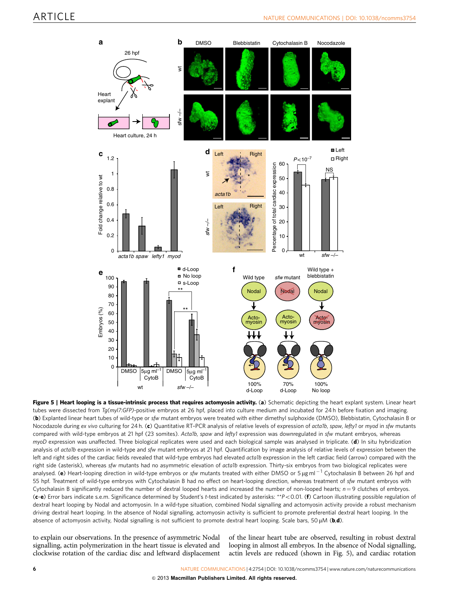<span id="page-5-0"></span>

Figure 5 | Heart looping is a tissue-intrinsic process that requires actomyosin activity. (a) Schematic depicting the heart explant system. Linear heart tubes were dissected from Tg(myl7:GFP)-positive embryos at 26 hpf, placed into culture medium and incubated for 24 h before fixation and imaging. (b) Explanted linear heart tubes of wild-type or sfw mutant embryos were treated with either dimethyl sulphoxide (DMSO), Blebbistatin, Cytochalasin B or Nocodazole during ex vivo culturing for 24 h. (c) Quantitative RT-PCR analysis of relative levels of expression of acta1b, spaw, lefty1 or myod in sfw mutants compared with wild-type embryos at 21 hpf (23 somites). Acta1b, spaw and lefty1 expression was downregulated in sfw mutant embryos, whereas myoD expression was unaffected. Three biological replicates were used and each biological sample was analysed in triplicate. (d) In situ hybridization analysis of acta1b expression in wild-type and sfw mutant embryos at 21 hpf. Quantification by image analysis of relative levels of expression between the left and right sides of the cardiac fields revealed that wild-type embryos had elevated acta1b expression in the left cardiac field (arrow) compared with the right side (asterisk), whereas sfw mutants had no asymmetric elevation of acta1b expression. Thirty-six embryos from two biological replicates were analysed. (e) Heart-looping direction in wild-type embryos or sfw mutants treated with either DMSO or 5 µg ml<sup>-1</sup> Cytochalasin B between 26 hpf and 55 hpf. Treatment of wild-type embryos with Cytochalasin B had no effect on heart-looping direction, whereas treatment of sfw mutant embryos with Cytochalasin B significantly reduced the number of dextral looped hearts and increased the number of non-looped hearts;  $n = 9$  clutches of embryos.  $(c-e)$  Error bars indicate s.e.m. Significance determined by Student's t-test indicated by asterisks: \*\* $P < 0.01$ . (f) Cartoon illustrating possible regulation of dextral heart looping by Nodal and actomyosin. In a wild-type situation, combined Nodal signalling and actomyosin activity provide a robust mechanism driving dextral heart looping. In the absence of Nodal signalling, actomyosin activity is sufficient to promote preferential dextral heart looping. In the absence of actomyosin activity, Nodal signalling is not sufficient to promote dextral heart looping. Scale bars, 50  $\mu$ M (b,d).

to explain our observations. In the presence of asymmetric Nodal signalling, actin polymerization in the heart tissue is elevated and clockwise rotation of the cardiac disc and leftward displacement

of the linear heart tube are observed, resulting in robust dextral looping in almost all embryos. In the absence of Nodal signalling, actin levels are reduced (shown in Fig. 5), and cardiac rotation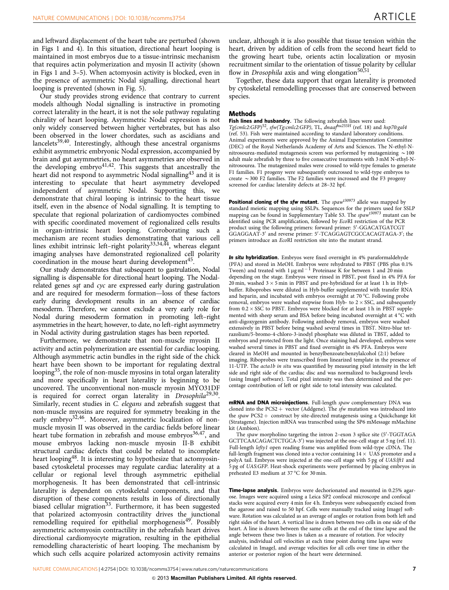and leftward displacement of the heart tube are perturbed (shown in [Figs 1 and 4](#page-1-0)). In this situation, directional heart looping is maintained in most embryos due to a tissue-intrinsic mechanism that requires actin polymerization and myosin II activity (shown in [Figs 1 and 3–5](#page-1-0)). When actomyosin activity is blocked, even in the presence of asymmetric Nodal signalling, directional heart looping is prevented (shown in [Fig. 5](#page-5-0)).

Our study provides strong evidence that contrary to current models although Nodal signalling is instructive in promoting correct laterality in the heart, it is not the sole pathway regulating chirality of heart looping. Asymmetric Nodal expression is not only widely conserved between higher vertebrates, but has also been observed in the lower chordates, such as ascidians and lancelets<sup>39,40</sup>. Interestingly, although these ancestral organisms exhibit asymmetric embryonic Nodal expression, accompanied by brain and gut asymmetries, no heart asymmetries are observed in the developing embryo $4^{1,42}$ . This suggests that ancestrally the heart did not respond to asymmetric Nodal signalling<sup>[43](#page-7-0)</sup> and it is interesting to speculate that heart asymmetry developed independent of asymmetric Nodal. Supporting this, we demonstrate that chiral looping is intrinsic to the heart tissue itself, even in the absence of Nodal signalling. It is tempting to speculate that regional polarization of cardiomyoctes combined with specific coordinated movement of regionalized cells results in organ-intrinsic heart looping. Corroborating such a mechanism are recent studies demonstrating that various cell lines exhibit intrinsic left–right polarity<sup>33,34,44</sup>, whereas elegant imaging analyses have demonstrated regionalized cell polarity coordination in the mouse heart during development<sup>[45](#page-7-0)</sup>.

Our study demonstrates that subsequent to gastrulation, Nodal signalling is dispensable for directional heart looping. The Nodalrelated genes sqt and cyc are expressed early during gastrulation and are required for mesoderm formation—loss of these factors early during development results in an absence of cardiac mesoderm. Therefore, we cannot exclude a very early role for Nodal during mesoderm formation in promoting left–right asymmetries in the heart; however, to date, no left–right asymmetry in Nodal activity during gastrulation stages has been reported.

Furthermore, we demonstrate that non-muscle myosin II activity and actin polymerization are essential for cardiac looping. Although asymmetric actin bundles in the right side of the chick heart have been shown to be important for regulating dextral looping<sup>35</sup>, the role of non-muscle myosins in total organ laterality and more specifically in heart laterality is beginning to be uncovered. The unconventional non-muscle myosin MYO31DF is required for correct organ laterality in  $Drosophila^{29,30}$ . Similarly, recent studies in C. elegans and zebrafish suggest that non-muscle myosins are required for symmetry breaking in the early embryo<sup>[32,46](#page-7-0)</sup>. Moreover, asymmetric localization of nonmuscle myosin II was observed in the cardiac fields before linear heart tube formation in zebrafish and mouse embryos<sup>36,47</sup>, and mouse embryos lacking non-muscle myosin II-B exhibit structural cardiac defects that could be related to incomplete heart looping<sup>[48](#page-7-0)</sup>. It is interesting to hypothesize that actomyosinbased cytoskeletal processes may regulate cardiac laterality at a cellular or regional level through asymmetric epithelial morphogenesis. It has been demonstrated that cell-intrinsic laterality is dependent on cytoskeletal components, and that disruption of these components results in loss of directionally biased cellular migration<sup>[33](#page-7-0)</sup>. Furthermore, it has been suggested that polarized actomyosin contractility drives the junctional remodelling required for epithelial morphogenesis<sup>[49](#page-8-0)</sup>. Possibly asymmetric actomyosin contractility in the zebrafish heart drives directional cardiomyocyte migration, resulting in the epithelial remodelling characteristic of heart looping. The mechanism by which such cells acquire polarized actomyosin activity remains

unclear, although it is also possible that tissue tension within the heart, driven by addition of cells from the second heart field to the growing heart tube, orients actin localization or myosin recruitment similar to the orientation of tissue polarity by cellular flow in *Drosophila* axis and wing elongation<sup>[50,51](#page-8-0)</sup>.

Together, these data support that organ laterality is promoted by cytoskeletal remodelling processes that are conserved between species.

### **Methods**

Fish lines and husbandry. The following zebrafish lines were used: Tg(cmlc2:GFP)<sup>[52](#page-8-0)</sup>, sfw(Tg:cmlc2:GFP), TL, dnaaf<sup>hu255H</sup> ([ref. 18](#page-7-0)) and hsp70:gal4 [\(ref. 53](#page-8-0)). Fish were maintained according to standard laboratory conditions. Animal experiments were approved by the Animal Experimentation Committee (DEC) of the Royal Netherlands Academy of Arts and Sciences. The N-ethyl-Nnitrosourea-mediated mutagenesis screen was performed by mutagenizing  $\sim$  100 adult male zebrafish by three to five consecutive treatments with 3 mM N-ethyl-Nnitrosourea. The mutagenized males were crossed to wild-type females to generate F1 families. F1 progeny were subsequently outcrossed to wild-type embryos to create  $\sim$  300 F2 families. The F2 families were incrossed and the F3 progeny screened for cardiac laterality defects at 28–32 hpf.

**Positional cloning of the sfw mutant.** The  $\text{span}^{t30973}$  allele was mapped by standard meiotic mapping using SSLPs. Sequences for the primers used for SSLP mapping can be found in Supplementary Table S3. The spaw<sup>t30973</sup> mutant can be identified using PCR amplification, followed by EcoRI restriction of the PCR product using the following primers: forward primer: 5'-GGACATGATCGT GGAGGAAT-3' and reverse primer: 5'-TCAGGAGTCGCCACAGTAGA-3'; the primers introduce an EcoRI restriction site into the mutant strand.

In situ hybridization. Embryos were fixed overnight in 4% paraformaldehyde (PFA) and stored in MeOH. Embryos were rehydrated to PBST (PBS plus 0.1% Tween) and treated with 1  $\mu$ g ml<sup>-1</sup> Proteinase K for between 1 and 20 min depending on the stage. Embryos were rinsed in PBST, post fixed in 4% PFA for 20 min, washed  $3 \times 5$  min in PBST and pre-hybridized for at least 1 h in Hybbuffer. Riboprobes were diluted in Hyb-buffer supplemented with transfer RNA and heparin, and incubated with embryos overnight at  $70^{\circ}$ C. Following probe removal, embryos were washed stepwise from Hyb- to  $2 \times$  SSC, and subsequently from  $0.2 \times$  SSC to PBST. Embryos were blocked for at least 1 h in PBST supplemented with sheep serum and BSA before being incubated overnight at  $4^{\circ}$ C with anti-digoxygenin antibody. Following antibody removal, embryos were washed extensively in PBST before being washed several times in TBST. Nitro-blue tetrazolium/5-bromo-4-chloro-3-inodyl phosphate was diluted in TBST, added to embryos and protected from the light. Once staining had developed, embryos were washed several times in PBST and fixed overnight in 4% PFA. Embryos were cleared in MeOH and mounted in benzylbenzoate:benzylalcohol (2:1) before imaging. Riboprobes were transcribed from linearized template in the presence of 11-UTP. The *acta1b in situ* was quantified by measuring pixel intensity in the left side and right side of the cardiac disc and was normalized to background levels (using ImageJ software). Total pixel intensity was then determined and the percentage contribution of left or right side to total intensity was calculated.

mRNA and DNA microinjections. Full-length spaw complementary DNA was cloned into the PCS2  $+$  vector (Addgene). The sfw mutation was introduced into the  $\textit{spaw PCS2} + \textit{construct by site-directed mutagenesis using a Quickchange kit}$ (Stratagene). Injection mRNA was transcribed using the SP6 mMessage mMachine kit (Ambion).

The spaw morpholino targeting the intron 2-exon 3 splice site (5'-TGGTAGA GCTTCAACAGACTCTGCA-3') was injected at the one-cell stage at 5 ng ([ref. 11](#page-7-0)). Full-length lefty1 open reading frame was amplified from wild-type cDNA. The full-length fragment was cloned into a vector containing  $14 \times$  UAS promoter and a polyA tail. Embryos were injected at the one-cell stage with 5 pg of UAS:lft1 and 5 pg of UAS:GFP. Heat-shock experiments were performed by placing embryos in preheated E3 medium at 37 °C for 30 min.

Time-lapse analysis. Embryos were dechorionated and mounted in 0.25% agarose. Images were acquired using a Leica SP2 confocal microscope and confocal stacks were acquired every 4 min for 4 h. Embryos were subsequently excised from the agarose and raised to 50 hpf. Cells were manually tracked using ImageJ software. Rotation was calculated as an average of angles or rotation from both left and right sides of the heart. A vertical line is drawn between two cells in one side of the heart. A line is drawn between the same cells at the end of the time lapse and the angle between these two lines is taken as a measure of rotation. For velocity analysis, individual cell velocities at each time point during time lapse were calculated in ImageJ, and average velocities for all cells over time in either the anterior or posterior region of the heart were determined.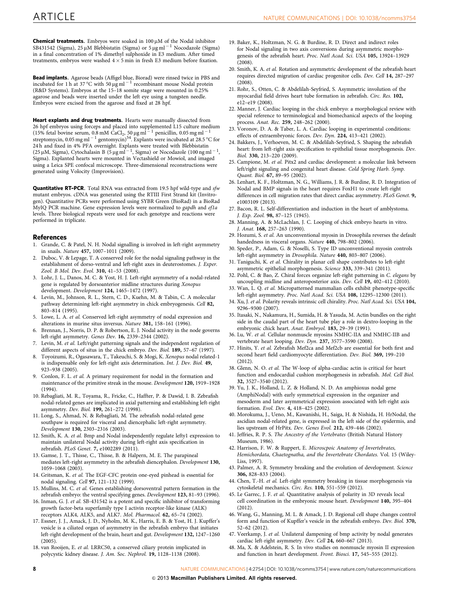<span id="page-7-0"></span>Bead implants. Agarose beads (Affigel blue, Biorad) were rinsed twice in PBS and incubated for 1 h at 37 °C with 50  $\mu$ g ml<sup>-1</sup> recombinant mouse Nodal protein (R&D Systems). Embryos at the 15–18 somite stage were mounted in 0.25% agarose and beads were inserted under the left eye using a tungsten needle. Embryos were excised from the agarose and fixed at 28 hpf.

Heart explants and drug treatments. Hearts were manually dissected from 26 hpf embryos using forceps and placed into supplemented L15 culture medium<br>(15% fetal bovine serum, 0.8 mM CaCl<sub>2</sub>, 50 µg ml<sup>-1</sup> penicillin, 0.05 mg ml<sup>-1</sup> streptomycin, 0.05 mg ml  $^{-1}$  gentomycin) $^{54}$ . Explants were incubated at 28.5 °C for 24 h and fixed in 4% PFA overnight. Explants were treated with Blebbistatin (25 µM, Sigma), Cytochalasin B (5 µg ml<sup>-1</sup>, Sigma) or Nocodazole (100 ng ml<sup>-1</sup>, Sigma). Explanted hearts were mounted in Vectashield or Mowiol, and imaged using a Leica SPE confocal microscope. Three-dimensional reconstructions were generated using Volocity (Improvision).

Quantitative RT-PCR. Total RNA was extracted from 19.5 hpf wild-type and sfw mutant embryos. cDNA was generated using the RTIII First Strand kit (Invitrogen). Quantitative PCRs were performed using SYBR Green (BioRad) in a BioRad MyIQ PCR machine. Gene expression levels were normalized to gapdh and ef1a levels. Three biological repeats were used for each genotype and reactions were performed in triplicate.

### References

- 1. Grande, C. & Patel, N. H. Nodal signalling is involved in left-right asymmetry in snails. Nature 457, 1007–1011 (2009).
- 2. Duboc, V. & Lepage, T. A conserved role for the nodal signaling pathway in the establishment of dorso-ventral and left-right axes in deuterostomes. J. Exper. Zool. B Mol. Dev. Evol. 310, 41-53 (2008).
- 3. Lohr, J. L., Danos, M. C. & Yost, H. J. Left-right asymmetry of a nodal-related gene is regulated by dorsoanterior midline structures during Xenopus development. Development 124, 1465–1472 (1997).
- 4. Levin, M., Johnson, R. L., Stern, C. D., Kuehn, M. & Tabin, C. A molecular pathway determining left-right asymmetry in chick embryogenesis. Cell 82, 803–814 (1995).
- 5. Lowe, L. A. et al. Conserved left-right asymmetry of nodal expression and alterations in murine situs inversus. Nature 381, 158–161 (1996).
- 6. Brennan, J., Norris, D. P. & Robertson, E. J. Nodal activity in the node governs left-right asymmetry. Genes Dev. 16, 2339–2344 (2002).
- Levin, M. et al. Left/right patterning signals and the independent regulation of different aspects of situs in the chick embryo. Dev. Biol. 189, 57-67 (1997).
- 8. Toyoizumi, R., Ogasawara, T., Takeuchi, S. & Mogi, K. Xenopus nodal related-1 is indispensable only for left-right axis determination. Int. J. Dev. Biol. 49, 923–938 (2005).
- 9. Conlon, F. L. et al. A primary requirement for nodal in the formation and maintenance of the primitive streak in the mouse. Development 120, 1919–1928  $(1994)$
- 10. Rebagliati, M. R., Toyama, R., Fricke, C., Haffter, P. & Dawid, I. B. Zebrafish nodal-related genes are implicated in axial patterning and establishing left-right asymmetry. Dev. Biol. 199, 261–272 (1998).
- 11. Long, S., Ahmad, N. & Rebagliati, M. The zebrafish nodal-related gene southpaw is required for visceral and diencephalic left-right asymmetry. Development 130, 2303–2316 (2003).
- 12. Smith, K. A. et al. Bmp and Nodal independently regulate lefty1 expression to maintain unilateral Nodal activity during left-right axis specification in zebrafish. PLoS Genet. 7, e1002289 (2011).
- 13. Gamse, J. T., Thisse, C., Thisse, B. & Halpern, M. E. The parapineal mediates left-right asymmetry in the zebrafish diencephalon. Development 130, 1059–1068 (2003).
- 14. Gritsman, K. et al. The EGF-CFC protein one-eyed pinhead is essential for nodal signaling. Cell 97, 121–132 (1999).
- 15. Mullins, M. C. et al. Genes establishing dorsoventral pattern formation in the zebrafish embryo: the ventral specifying genes. Development 123, 81-93 (1996).
- 16. Inman, G. J. et al. SB-431542 is a potent and specific inhibitor of transforming growth factor-beta superfamily type I activin receptor-like kinase (ALK) receptors ALK4, ALK5, and ALK7. Mol. Pharmacol. 62, 65-74 (2002).
- 17. Essner, J. J., Amack, J. D., Nyholm, M. K., Harris, E. B. & Yost, H. J. Kupffer's vesicle is a ciliated organ of asymmetry in the zebrafish embryo that initiates left-right development of the brain, heart and gut. Development 132, 1247–1260  $(2005)$ .
- 18. van Rooijen, E. et al. LRRC50, a conserved ciliary protein implicated in polycystic kidney disease. J. Am. Soc. Nephrol. 19, 1128–1138 (2008).
- 19. Baker, K., Holtzman, N. G. & Burdine, R. D. Direct and indirect roles for Nodal signaling in two axis conversions during asymmetric morphogenesis of the zebrafish heart. Proc. Natl Acad. Sci. USA 105, 13924–13929  $(2008)$
- 20. Smith, K. A. et al. Rotation and asymmetric development of the zebrafish heart requires directed migration of cardiac progenitor cells. Dev. Cell 14, 287–297  $(2008)$
- 21. Rohr, S., Otten, C. & Abdelilah-Seyfried, S. Asymmetric involution of the myocardial field drives heart tube formation in zebrafish. Circ. Res. 102, e12–e19 (2008).
- 22. Manner, J. Cardiac looping in the chick embryo: a morphological review with special reference to terminological and biomechanical aspects of the looping process. Anat. Rec. 259, 248–262 (2000).
- 23. Voronov, D. A. & Taber, L. A. Cardiac looping in experimental conditions: effects of extraembryonic forces. Dev. Dyn. 224, 413–421 (2002).
- 24. Bakkers, J., Verhoeven, M. C. & Abdelilah-Seyfried, S. Shaping the zebrafish heart: from left-right axis specification to epithelial tissue morphogenesis. Dev. Biol. 330, 213–220 (2009).
- 25. Campione, M. et al. Pitx2 and cardiac development: a molecular link between left/right signaling and congenital heart disease. Cold Spring Harb. Symp. Quant. Biol. 67, 89–95 (2002).
- 26. Lenhart, K. F., Holtzman, N. G., Williams, J. R. & Burdine, R. D. Integration of Nodal and BMP signals in the heart requires FoxH1 to create left-right differences in cell migration rates that direct cardiac asymmetry. PLoS Genet. 9, e1003109 (2013).
- 27. Bacon, R. L. Self-differentiation and induction in the heart of amblystoma. J. Exp. Zool. 98, 87–125 (1945).
- 28. Manning, A. & McLachlan, J. C. Looping of chick embryo hearts in vitro. J. Anat. 168, 257–263 (1990).
- 29. Hozumi, S. et al. An unconventional myosin in Drosophila reverses the default handedness in visceral organs. Nature 440, 798–802 (2006).
- 30. Speder, P., Adam, G. & Noselli, S. Type ID unconventional myosin controls left-right asymmetry in Drosophila. Nature 440, 803–807 (2006).
- 31. Taniguchi, K. et al. Chirality in planar cell shape contributes to left-right asymmetric epithelial morphogenesis. Science 333, 339–341 (2011).
- 32. Pohl, C. & Bao, Z. Chiral forces organize left-right patterning in C. elegans by uncoupling midline and anteroposterior axis. Dev. Cell 19, 402–412 (2010).
- 33. Wan, L. Q. et al. Micropatterned mammalian cells exhibit phenotype-specific left-right asymmetry. Proc. Natl Acad. Sci. USA 108, 12295–12300 (2011).
- 34. Xu, J. et al. Polarity reveals intrinsic cell chirality. Proc. Natl Acad. Sci. USA 104, 9296–9300 (2007).
- 35. Itasaki, N., Nakamura, H., Sumida, H. & Yasuda, M. Actin bundles on the right side in the caudal part of the heart tube play a role in dextro-looping in the embryonic chick heart. Anat. Embryol. 183, 29-39 (1991).
- 36. Lu, W. et al. Cellular nonmuscle myosins NMHC-IIA and NMHC-IIB and vertebrate heart looping. Dev. Dyn. 237, 3577–3590 (2008).
- 37. Hinits, Y. et al. Zebrafish Mef2ca and Mef2cb are essential for both first and second heart field cardiomyocyte differentiation. Dev. Biol. 369, 199–210  $(2012)$
- 38. Glenn, N. O. et al. The W-loop of alpha-cardiac actin is critical for heart function and endocardial cushion morphogenesis in zebrafish. Mol. Cell Biol. 32, 3527–3540 (2012).
- 39. Yu, J. K., Holland, L. Z. & Holland, N. D. An amphioxus nodal gene (AmphiNodal) with early symmetrical expression in the organizer and mesoderm and later asymmetrical expression associated with left-right axis formation. Evol. Dev. 4, 418–425 (2002).
- 40. Morokuma, J., Ueno, M., Kawanishi, H., Saiga, H. & Nishida, H. HrNodal, the ascidian nodal-related gene, is expressed in the left side of the epidermis, and lies upstream of HrPitx. Dev. Genes Evol. 212, 439–446 (2002).
- 41. Jeffries, R. P. S. The Ancestry of the Vertebrates (British Natural History Museum, 1986).
- 42. Harrison, F. W. & Ruppert, E. Microscpoic Anatomy of Invertebrates, Hemichordata, Chaetognatha, and the Invertebrate Chordates. Vol. 15 (Wiley-Liss, 1997).
- 43. Palmer, A. R. Symmetry breaking and the evolution of development. Science 306, 828–833 (2004).
- 44. Chen, T.-H. et al. Left-right symmetry breaking in tissue morphogenesis via cytoskeletal mechanics. Circ. Res. 110, 551–559 (2012).
- 45. Le Garrec, J. F. et al. Quantitative analysis of polarity in 3D reveals local cell coordination in the embryonic mouse heart. Development 140, 395–404 (2012).
- 46. Wang, G., Manning, M. L. & Amack, J. D. Regional cell shape changes control form and function of Kupffer's vesicle in the zebrafish embryo. Dev. Biol. 370, 52–62 (2012).
- 47. Veerkamp, J. et al. Unilateral dampening of bmp activity by nodal generates cardiac left-right asymmetry. Dev. Cell 24, 660–667 (2013).
- 48. Ma, X. & Adelstein, R. S. In vivo studies on nonmuscle myosin II expression and function in heart development. Front. Biosci. 17, 545–555 (2012).